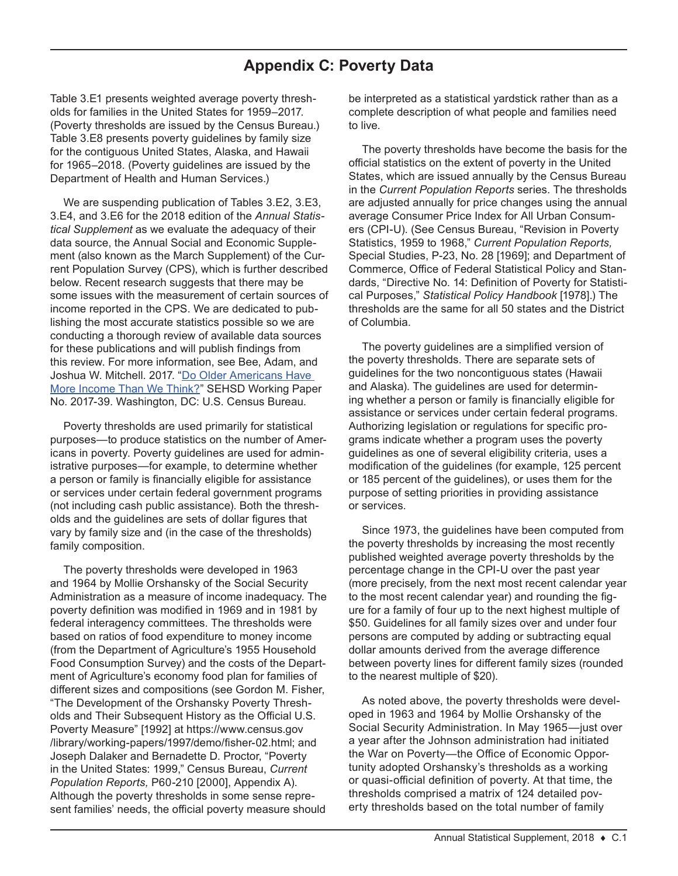## **Appendix C: Poverty Data**

Table 3.E1 presents weighted average poverty thresholds for families in the United States for 1959–2017. (Poverty thresholds are issued by the Census Bureau.) Table 3.E8 presents poverty guidelines by family size for the contiguous United States, Alaska, and Hawaii for 1965–2018. (Poverty guidelines are issued by the Department of Health and Human Services.)

We are suspending publication of Tables 3.E2, 3.E3, 3.E4, and 3.E6 for the 2018 edition of the *Annual Statistical Supplement* as we evaluate the adequacy of their data source, the Annual Social and Economic Supplement (also known as the March Supplement) of the Current Population Survey (CPS), which is further described below. Recent research suggests that there may be some issues with the measurement of certain sources of income reported in the CPS. We are dedicated to publishing the most accurate statistics possible so we are conducting a thorough review of available data sources for these publications and will publish findings from this review. For more information, see Bee, Adam, and Joshua W. Mitchell. 2017. ["Do Older Americans Have](https://www.census.gov/content/dam/Census/library/working-papers/2017/demo/SEHSD-WP2017-39.pdf)  [More Income Than We Think?"](https://www.census.gov/content/dam/Census/library/working-papers/2017/demo/SEHSD-WP2017-39.pdf) SEHSD Working Paper No. 2017-39. Washington, DC: U.S. Census Bureau.

Poverty thresholds are used primarily for statistical purposes—to produce statistics on the number of Americans in poverty. Poverty guidelines are used for administrative purposes—for example, to determine whether a person or family is financially eligible for assistance or services under certain federal government programs (not including cash public assistance). Both the thresholds and the guidelines are sets of dollar figures that vary by family size and (in the case of the thresholds) family composition.

The poverty thresholds were developed in 1963 and 1964 by Mollie Orshansky of the Social Security Administration as a measure of income inadequacy. The poverty definition was modified in 1969 and in 1981 by federal interagency committees. The thresholds were based on ratios of food expenditure to money income (from the Department of Agriculture's 1955 Household Food Consumption Survey) and the costs of the Department of Agriculture's economy food plan for families of different sizes and compositions (see Gordon M. Fisher, "The Development of the Orshansky Poverty Thresholds and Their Subsequent History as the Official U.S. Poverty Measure" [1992] at [https://www.census.gov](https://www.census.gov/library/working-papers/1997/demo/fisher-02.html) [/library/working-papers/1997/demo/fisher-02.html](https://www.census.gov/library/working-papers/1997/demo/fisher-02.html); and Joseph Dalaker and Bernadette D. Proctor, "Poverty in the United States: 1999," Census Bureau, *Current Population Reports,* P60-210 [2000], Appendix A). Although the poverty thresholds in some sense represent families' needs, the official poverty measure should

be interpreted as a statistical yardstick rather than as a complete description of what people and families need to live.

The poverty thresholds have become the basis for the official statistics on the extent of poverty in the United States, which are issued annually by the Census Bureau in the *Current Population Reports* series. The thresholds are adjusted annually for price changes using the annual average Consumer Price Index for All Urban Consumers (CPI-U). (See Census Bureau, "Revision in Poverty Statistics, 1959 to 1968," *Current Population Reports,* Special Studies, P-23, No. 28 [1969]; and Department of Commerce, Office of Federal Statistical Policy and Standards, "Directive No. 14: Definition of Poverty for Statistical Purposes," *Statistical Policy Handbook* [1978].) The thresholds are the same for all 50 states and the District of Columbia.

The poverty guidelines are a simplified version of the poverty thresholds. There are separate sets of guidelines for the two noncontiguous states (Hawaii and Alaska). The guidelines are used for determining whether a person or family is financially eligible for assistance or services under certain federal programs. Authorizing legislation or regulations for specific programs indicate whether a program uses the poverty guidelines as one of several eligibility criteria, uses a modification of the guidelines (for example, 125 percent or 185 percent of the guidelines), or uses them for the purpose of setting priorities in providing assistance or services.

Since 1973, the guidelines have been computed from the poverty thresholds by increasing the most recently published weighted average poverty thresholds by the percentage change in the CPI-U over the past year (more precisely, from the next most recent calendar year to the most recent calendar year) and rounding the figure for a family of four up to the next highest multiple of \$50. Guidelines for all family sizes over and under four persons are computed by adding or subtracting equal dollar amounts derived from the average difference between poverty lines for different family sizes (rounded to the nearest multiple of \$20).

As noted above, the poverty thresholds were developed in 1963 and 1964 by Mollie Orshansky of the Social Security Administration. In May 1965—just over a year after the Johnson administration had initiated the War on Poverty—the Office of Economic Opportunity adopted Orshansky's thresholds as a working or quasi-official definition of poverty. At that time, the thresholds comprised a matrix of 124 detailed poverty thresholds based on the total number of family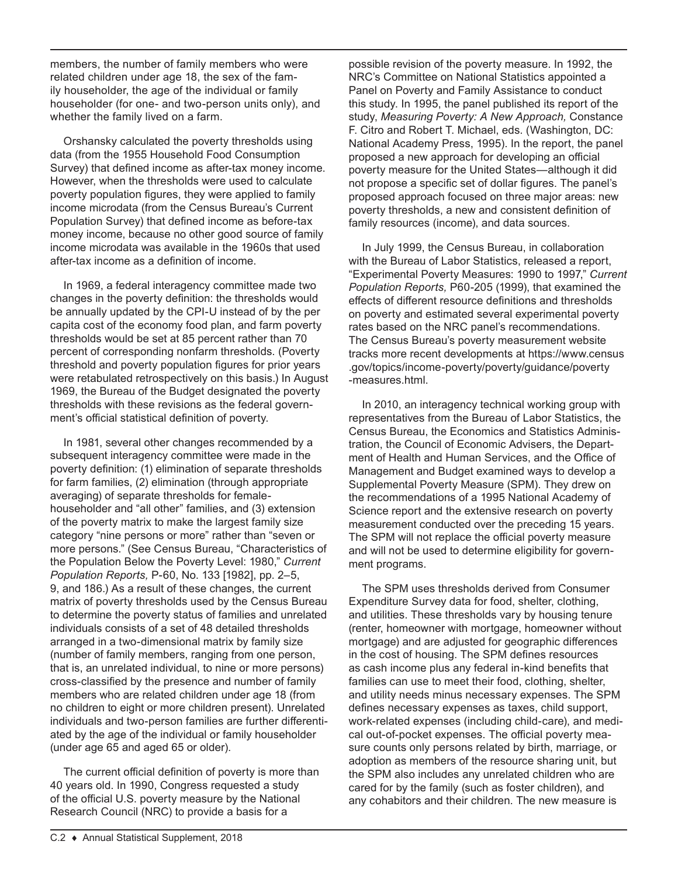members, the number of family members who were related children under age 18, the sex of the family householder, the age of the individual or family householder (for one- and two-person units only), and whether the family lived on a farm.

Orshansky calculated the poverty thresholds using data (from the 1955 Household Food Consumption Survey) that defined income as after-tax money income. However, when the thresholds were used to calculate poverty population figures, they were applied to family income microdata (from the Census Bureau's Current Population Survey) that defined income as before-tax money income, because no other good source of family income microdata was available in the 1960s that used after-tax income as a definition of income.

In 1969, a federal interagency committee made two changes in the poverty definition: the thresholds would be annually updated by the CPI-U instead of by the per capita cost of the economy food plan, and farm poverty thresholds would be set at 85 percent rather than 70 percent of corresponding nonfarm thresholds. (Poverty threshold and poverty population figures for prior years were retabulated retrospectively on this basis.) In August 1969, the Bureau of the Budget designated the poverty thresholds with these revisions as the federal government's official statistical definition of poverty.

In 1981, several other changes recommended by a subsequent interagency committee were made in the poverty definition: (1) elimination of separate thresholds for farm families, (2) elimination (through appropriate averaging) of separate thresholds for femalehouseholder and "all other" families, and (3) extension of the poverty matrix to make the largest family size category "nine persons or more" rather than "seven or more persons." (See Census Bureau, "Characteristics of the Population Below the Poverty Level: 1980," *Current Population Reports,* P-60, No. 133 [1982], pp. 2–5, 9, and 186.) As a result of these changes, the current matrix of poverty thresholds used by the Census Bureau to determine the poverty status of families and unrelated individuals consists of a set of 48 detailed thresholds arranged in a two-dimensional matrix by family size (number of family members, ranging from one person, that is, an unrelated individual, to nine or more persons) cross-classified by the presence and number of family members who are related children under age 18 (from no children to eight or more children present). Unrelated individuals and two-person families are further differentiated by the age of the individual or family householder (under age 65 and aged 65 or older).

The current official definition of poverty is more than 40 years old. In 1990, Congress requested a study of the official U.S. poverty measure by the National Research Council (NRC) to provide a basis for a

possible revision of the poverty measure. In 1992, the NRC's Committee on National Statistics appointed a Panel on Poverty and Family Assistance to conduct this study. In 1995, the panel published its report of the study, *Measuring Poverty: A New Approach,* Constance F. Citro and Robert T. Michael, eds. (Washington, DC: National Academy Press, 1995). In the report, the panel proposed a new approach for developing an official poverty measure for the United States—although it did not propose a specific set of dollar figures. The panel's proposed approach focused on three major areas: new poverty thresholds, a new and consistent definition of family resources (income), and data sources.

In July 1999, the Census Bureau, in collaboration with the Bureau of Labor Statistics, released a report, "Experimental Poverty Measures: 1990 to 1997," *Current Population Reports,* P60-205 (1999), that examined the effects of different resource definitions and thresholds on poverty and estimated several experimental poverty rates based on the NRC panel's recommendations. The Census Bureau's poverty measurement website tracks more recent developments at [https://www.census](https://www.census.gov/topics/income-poverty/poverty/guidance/poverty-measures.html) [.gov/topics/income-poverty/poverty/guidance/poverty](https://www.census.gov/topics/income-poverty/poverty/guidance/poverty-measures.html) [-measures.html](https://www.census.gov/topics/income-poverty/poverty/guidance/poverty-measures.html).

In 2010, an interagency technical working group with representatives from the Bureau of Labor Statistics, the Census Bureau, the Economics and Statistics Administration, the Council of Economic Advisers, the Department of Health and Human Services, and the Office of Management and Budget examined ways to develop a Supplemental Poverty Measure (SPM). They drew on the recommendations of a 1995 National Academy of Science report and the extensive research on poverty measurement conducted over the preceding 15 years. The SPM will not replace the official poverty measure and will not be used to determine eligibility for government programs.

The SPM uses thresholds derived from Consumer Expenditure Survey data for food, shelter, clothing, and utilities. These thresholds vary by housing tenure (renter, homeowner with mortgage, homeowner without mortgage) and are adjusted for geographic differences in the cost of housing. The SPM defines resources as cash income plus any federal in-kind benefits that families can use to meet their food, clothing, shelter, and utility needs minus necessary expenses. The SPM defines necessary expenses as taxes, child support, work-related expenses (including child-care), and medical out-of-pocket expenses. The official poverty measure counts only persons related by birth, marriage, or adoption as members of the resource sharing unit, but the SPM also includes any unrelated children who are cared for by the family (such as foster children), and any cohabitors and their children. The new measure is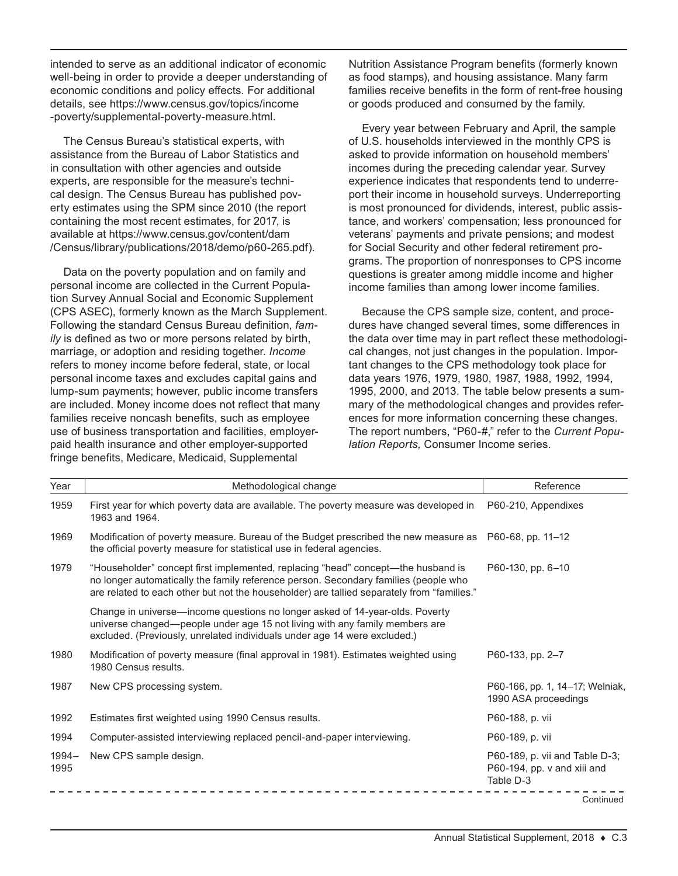intended to serve as an additional indicator of economic well-being in order to provide a deeper understanding of economic conditions and policy effects. For additional details, see [https://www.census.gov/topics/income](https://www.census.gov/topics/income-poverty/supplemental-poverty-measure.html) [-poverty/supplemental-poverty-measure.html](https://www.census.gov/topics/income-poverty/supplemental-poverty-measure.html).

The Census Bureau's statistical experts, with assistance from the Bureau of Labor Statistics and in consultation with other agencies and outside experts, are responsible for the measure's technical design. The Census Bureau has published poverty estimates using the SPM since 2010 (the report containing the most recent estimates, for 2017, is available at [https://www.census.gov/content/dam](https://www.census.gov/content/dam/Census/library/publications/2018/demo/p60-265.pdf) [/Census/library/publications/2018/demo/p60-265.pdf\)](https://www.census.gov/content/dam/Census/library/publications/2018/demo/p60-265.pdf).

Data on the poverty population and on family and personal income are collected in the Current Population Survey Annual Social and Economic Supplement (CPS ASEC), formerly known as the March Supplement. Following the standard Census Bureau definition, *family* is defined as two or more persons related by birth, marriage, or adoption and residing together. *Income* refers to money income before federal, state, or local personal income taxes and excludes capital gains and lump-sum payments; however, public income transfers are included. Money income does not reflect that many families receive noncash benefits, such as employee use of business transportation and facilities, employerpaid health insurance and other employer-supported fringe benefits, Medicare, Medicaid, Supplemental

Nutrition Assistance Program benefits (formerly known as food stamps), and housing assistance. Many farm families receive benefits in the form of rent-free housing or goods produced and consumed by the family.

Every year between February and April, the sample of U.S. households interviewed in the monthly CPS is asked to provide information on household members' incomes during the preceding calendar year. Survey experience indicates that respondents tend to underreport their income in household surveys. Underreporting is most pronounced for dividends, interest, public assistance, and workers' compensation; less pronounced for veterans' payments and private pensions; and modest for Social Security and other federal retirement programs. The proportion of nonresponses to CPS income questions is greater among middle income and higher income families than among lower income families.

Because the CPS sample size, content, and procedures have changed several times, some differences in the data over time may in part reflect these methodological changes, not just changes in the population. Important changes to the CPS methodology took place for data years 1976, 1979, 1980, 1987, 1988, 1992, 1994, 1995, 2000, and 2013. The table below presents a summary of the methodological changes and provides references for more information concerning these changes. The report numbers, "P60-#," refer to the *Current Population Reports,* Consumer Income series.

| Year             | Methodological change                                                                                                                                                                                                                                                 | Reference                                                                  |
|------------------|-----------------------------------------------------------------------------------------------------------------------------------------------------------------------------------------------------------------------------------------------------------------------|----------------------------------------------------------------------------|
| 1959             | First year for which poverty data are available. The poverty measure was developed in<br>1963 and 1964.                                                                                                                                                               | P60-210, Appendixes                                                        |
| 1969             | Modification of poverty measure. Bureau of the Budget prescribed the new measure as<br>the official poverty measure for statistical use in federal agencies.                                                                                                          | P60-68, pp. 11-12                                                          |
| 1979             | "Householder" concept first implemented, replacing "head" concept-the husband is<br>no longer automatically the family reference person. Secondary families (people who<br>are related to each other but not the householder) are tallied separately from "families." | P60-130, pp. 6-10                                                          |
|                  | Change in universe—income questions no longer asked of 14-year-olds. Poverty<br>universe changed—people under age 15 not living with any family members are<br>excluded. (Previously, unrelated individuals under age 14 were excluded.)                              |                                                                            |
| 1980             | Modification of poverty measure (final approval in 1981). Estimates weighted using<br>1980 Census results.                                                                                                                                                            | P60-133, pp. 2-7                                                           |
| 1987             | New CPS processing system.                                                                                                                                                                                                                                            | P60-166, pp. 1, 14-17; Welniak,<br>1990 ASA proceedings                    |
| 1992             | Estimates first weighted using 1990 Census results.                                                                                                                                                                                                                   | P60-188, p. vii                                                            |
| 1994             | Computer-assisted interviewing replaced pencil-and-paper interviewing.                                                                                                                                                                                                | P60-189, p. vii                                                            |
| $1994 -$<br>1995 | New CPS sample design.                                                                                                                                                                                                                                                | P60-189, p. vii and Table D-3;<br>P60-194, pp. v and xiii and<br>Table D-3 |
|                  |                                                                                                                                                                                                                                                                       | Continued                                                                  |